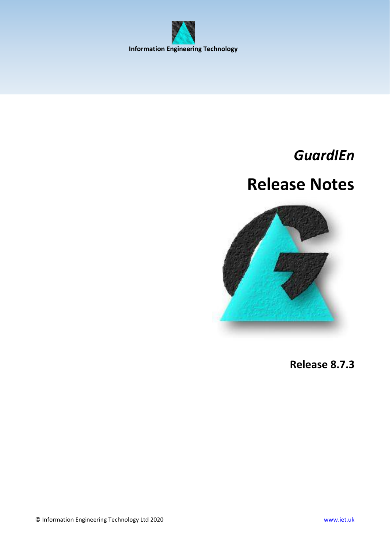<span id="page-0-0"></span>

## *GuardIEn*

# **Release Notes**



**Release 8.7.3**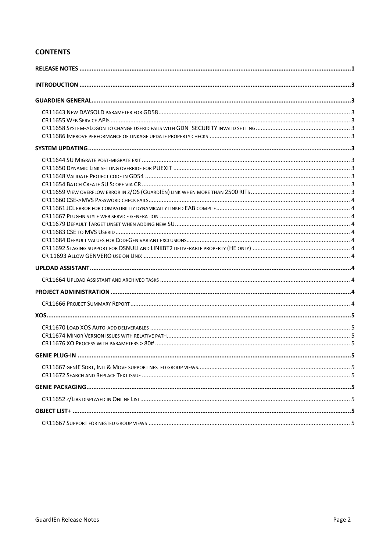## **CONTENTS**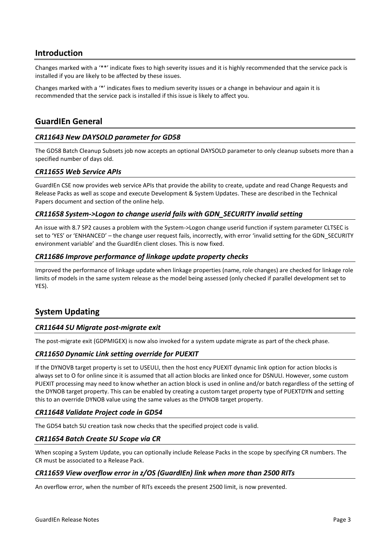## <span id="page-2-0"></span>**Introduction**

Changes marked with a '\*\*' indicate fixes to high severity issues and it is highly recommended that the service pack is installed if you are likely to be affected by these issues.

Changes marked with a '\*' indicates fixes to medium severity issues or a change in behaviour and again it is recommended that the service pack is installed if this issue is likely to affect you.

## <span id="page-2-1"></span>**GuardIEn General**

#### <span id="page-2-2"></span>*CR11643 New DAYSOLD parameter for GD58*

The GD58 Batch Cleanup Subsets job now accepts an optional DAYSOLD parameter to only cleanup subsets more than a specified number of days old.

#### <span id="page-2-3"></span>*CR11655 Web Service APIs*

GuardIEn CSE now provides web service APIs that provide the ability to create, update and read Change Requests and Release Packs as well as scope and execute Development & System Updates. These are described in the Technical Papers document and section of the online help.

#### <span id="page-2-4"></span>*CR11658 System->Logon to change userid fails with GDN\_SECURITY invalid setting*

An issue with 8.7 SP2 causes a problem with the System->Logon change userid function if system parameter CLTSEC is set to 'YES' or 'ENHANCED' – the change user request fails, incorrectly, with error 'invalid setting for the GDN\_SECURITY environment variable' and the GuardIEn client closes. This is now fixed.

#### <span id="page-2-5"></span>*CR11686 Improve performance of linkage update property checks*

Improved the performance of linkage update when linkage properties (name, role changes) are checked for linkage role limits of models in the same system release as the model being assessed (only checked if parallel development set to YES).

## <span id="page-2-6"></span>**System Updating**

#### <span id="page-2-7"></span>*CR11644 SU Migrate post-migrate exit*

The post-migrate exit (GDPMIGEX) is now also invoked for a system update migrate as part of the check phase.

#### <span id="page-2-8"></span>*CR11650 Dynamic Link setting override for PUEXIT*

If the DYNOVB target property is set to USEULI, then the host ency PUEXIT dynamic link option for action blocks is always set to O for online since it is assumed that all action blocks are linked once for DSNULI. However, some custom PUEXIT processing may need to know whether an action block is used in online and/or batch regardless of the setting of the DYNOB target property. This can be enabled by creating a custom target property type of PUEXTDYN and setting this to an override DYNOB value using the same values as the DYNOB target property.

#### <span id="page-2-9"></span>*CR11648 Validate Project code in GD54*

The GD54 batch SU creation task now checks that the specified project code is valid.

#### <span id="page-2-10"></span>*CR11654 Batch Create SU Scope via CR*

When scoping a System Update, you can optionally include Release Packs in the scope by specifying CR numbers. The CR must be associated to a Release Pack.

#### <span id="page-2-11"></span>*CR11659 View overflow error in z/OS (GuardIEn) link when more than 2500 RITs*

An overflow error, when the number of RITs exceeds the present 2500 limit, is now prevented.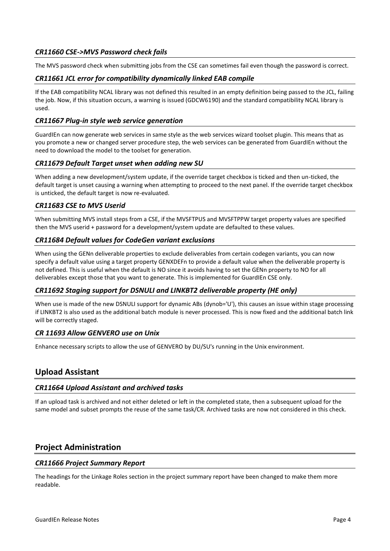## <span id="page-3-0"></span>*CR11660 CSE->MVS Password check fails*

The MVS password check when submitting jobs from the CSE can sometimes fail even though the password is correct.

#### <span id="page-3-1"></span>*CR11661 JCL error for compatibility dynamically linked EAB compile*

If the EAB compatibility NCAL library was not defined this resulted in an empty definition being passed to the JCL, failing the job. Now, if this situation occurs, a warning is issued (GDCW6190) and the standard compatibility NCAL library is used.

#### <span id="page-3-2"></span>*CR11667 Plug-in style web service generation*

GuardIEn can now generate web services in same style as the web services wizard toolset plugin. This means that as you promote a new or changed server procedure step, the web services can be generated from GuardIEn without the need to download the model to the toolset for generation.

#### <span id="page-3-3"></span>*CR11679 Default Target unset when adding new SU*

When adding a new development/system update, if the override target checkbox is ticked and then un-ticked, the default target is unset causing a warning when attempting to proceed to the next panel. If the override target checkbox is unticked, the default target is now re-evaluated.

#### <span id="page-3-4"></span>*CR11683 CSE to MVS Userid*

When submitting MVS install steps from a CSE, if the MVSFTPUS and MVSFTPPW target property values are specified then the MVS userid + password for a development/system update are defaulted to these values.

#### <span id="page-3-5"></span>*CR11684 Default values for CodeGen variant exclusions*

When using the GENn deliverable properties to exclude deliverables from certain codegen variants, you can now specify a default value using a target property GENXDEFn to provide a default value when the deliverable property is not defined. This is useful when the default is NO since it avoids having to set the GENn property to NO for all deliverables except those that you want to generate. This is implemented for GuardIEn CSE only.

#### <span id="page-3-6"></span>*CR11692 Staging support for DSNULI and LINKBT2 deliverable property (HE only)*

When use is made of the new DSNULI support for dynamic ABs (dynob='U'), this causes an issue within stage processing if LINKBT2 is also used as the additional batch module is never processed. This is now fixed and the additional batch link will be correctly staged.

#### <span id="page-3-7"></span>*CR 11693 Allow GENVERO use on Unix*

Enhance necessary scripts to allow the use of GENVERO by DU/SU's running in the Unix environment.

## <span id="page-3-8"></span>**Upload Assistant**

#### <span id="page-3-9"></span>*CR11664 Upload Assistant and archived tasks*

If an upload task is archived and not either deleted or left in the completed state, then a subsequent upload for the same model and subset prompts the reuse of the same task/CR. Archived tasks are now not considered in this check.

## <span id="page-3-10"></span>**Project Administration**

#### <span id="page-3-11"></span>*CR11666 Project Summary Report*

The headings for the Linkage Roles section in the project summary report have been changed to make them more readable.